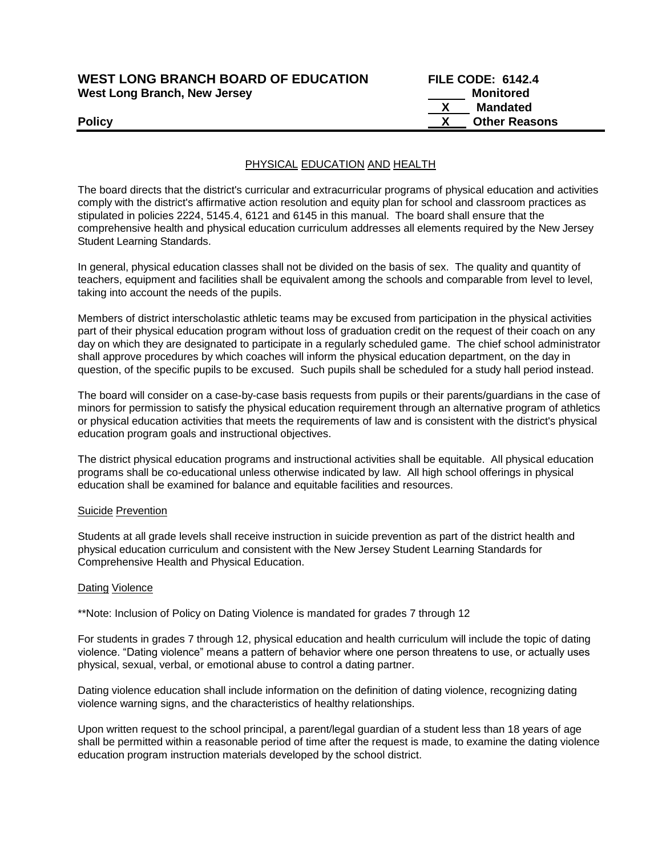# **WEST LONG BRANCH BOARD OF EDUCATION FILE CODE: 6142.4 West Long Branch, New Jersey Monitored West Long Branch, New Jersey Monitored**

 **X Mandated Policy X Other Reasons**

## PHYSICAL EDUCATION AND HEALTH

The board directs that the district's curricular and extracurricular programs of physical education and activities comply with the district's affirmative action resolution and equity plan for school and classroom practices as stipulated in policies 2224, 5145.4, 6121 and 6145 in this manual. The board shall ensure that the comprehensive health and physical education curriculum addresses all elements required by the New Jersey Student Learning Standards.

In general, physical education classes shall not be divided on the basis of sex. The quality and quantity of teachers, equipment and facilities shall be equivalent among the schools and comparable from level to level, taking into account the needs of the pupils.

Members of district interscholastic athletic teams may be excused from participation in the physical activities part of their physical education program without loss of graduation credit on the request of their coach on any day on which they are designated to participate in a regularly scheduled game. The chief school administrator shall approve procedures by which coaches will inform the physical education department, on the day in question, of the specific pupils to be excused. Such pupils shall be scheduled for a study hall period instead.

The board will consider on a case-by-case basis requests from pupils or their parents/guardians in the case of minors for permission to satisfy the physical education requirement through an alternative program of athletics or physical education activities that meets the requirements of law and is consistent with the district's physical education program goals and instructional objectives.

The district physical education programs and instructional activities shall be equitable. All physical education programs shall be co-educational unless otherwise indicated by law. All high school offerings in physical education shall be examined for balance and equitable facilities and resources.

### Suicide Prevention

Students at all grade levels shall receive instruction in suicide prevention as part of the district health and physical education curriculum and consistent with the New Jersey Student Learning Standards for Comprehensive Health and Physical Education.

### **Dating Violence**

\*\*Note: Inclusion of Policy on Dating Violence is mandated for grades 7 through 12

For students in grades 7 through 12, physical education and health curriculum will include the topic of dating violence. "Dating violence" means a pattern of behavior where one person threatens to use, or actually uses physical, sexual, verbal, or emotional abuse to control a dating partner.

Dating violence education shall include information on the definition of dating violence, recognizing dating violence warning signs, and the characteristics of healthy relationships.

Upon written request to the school principal, a parent/legal guardian of a student less than 18 years of age shall be permitted within a reasonable period of time after the request is made, to examine the dating violence education program instruction materials developed by the school district.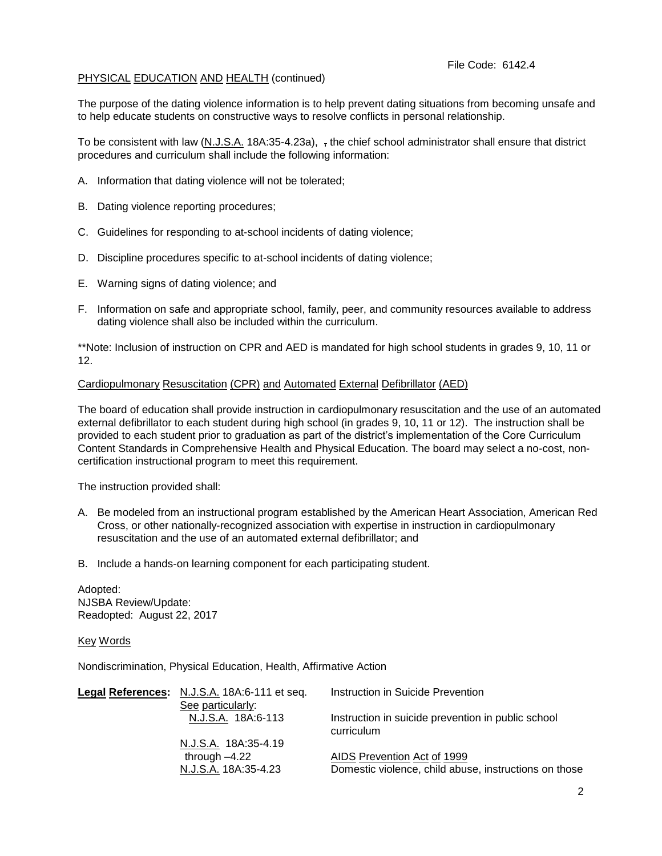## PHYSICAL EDUCATION AND HEALTH (continued)

The purpose of the dating violence information is to help prevent dating situations from becoming unsafe and to help educate students on constructive ways to resolve conflicts in personal relationship.

To be consistent with law  $(N_J.S.A. 18A:35-4.23a)$ , the chief school administrator shall ensure that district procedures and curriculum shall include the following information:

- A. Information that dating violence will not be tolerated;
- B. Dating violence reporting procedures;
- C. Guidelines for responding to at-school incidents of dating violence;
- D. Discipline procedures specific to at-school incidents of dating violence;
- E. Warning signs of dating violence; and
- F. Information on safe and appropriate school, family, peer, and community resources available to address dating violence shall also be included within the curriculum.

\*\*Note: Inclusion of instruction on CPR and AED is mandated for high school students in grades 9, 10, 11 or 12.

#### Cardiopulmonary Resuscitation (CPR) and Automated External Defibrillator (AED)

The board of education shall provide instruction in cardiopulmonary resuscitation and the use of an automated external defibrillator to each student during high school (in grades 9, 10, 11 or 12). The instruction shall be provided to each student prior to graduation as part of the district's implementation of the Core Curriculum Content Standards in Comprehensive Health and Physical Education. The board may select a no-cost, noncertification instructional program to meet this requirement.

The instruction provided shall:

- A. Be modeled from an instructional program established by the American Heart Association, American Red Cross, or other nationally-recognized association with expertise in instruction in cardiopulmonary resuscitation and the use of an automated external defibrillator; and
- B. Include a hands-on learning component for each participating student.

Adopted: NJSBA Review/Update: Readopted: August 22, 2017

Key Words

Nondiscrimination, Physical Education, Health, Affirmative Action

| Legal References: N.J.S.A. 18A:6-111 et seq. | Instruction in Suicide Prevention                                |
|----------------------------------------------|------------------------------------------------------------------|
| See particularly:                            |                                                                  |
| N.J.S.A. 18A:6-113                           | Instruction in suicide prevention in public school<br>curriculum |
| N.J.S.A. 18A:35-4.19                         |                                                                  |
| through -4.22                                | AIDS Prevention Act of 1999                                      |
| N.J.S.A. 18A:35-4.23                         | Domestic violence, child abuse, instructions on those            |